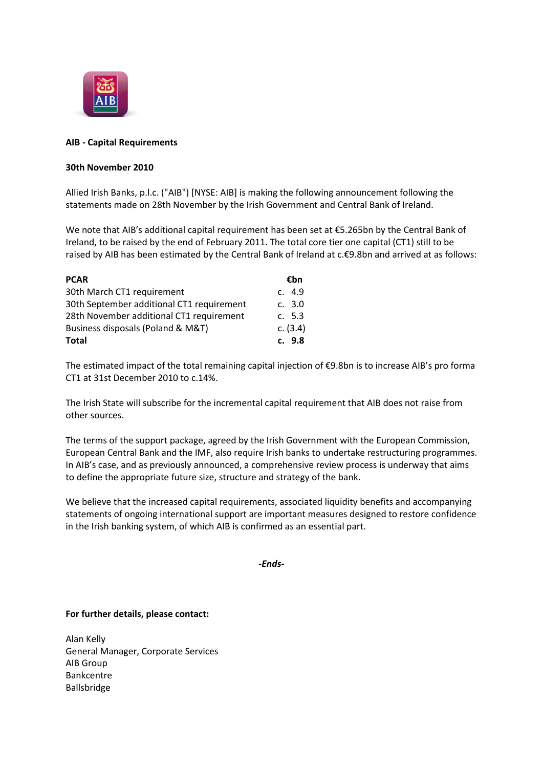

## **AIB - Capital Requirements**

## **30th November 2010**

Allied Irish Banks, p.l.c. ("AIB") [NYSE: AIB] is making the following announcement following the statements made on 28th November by the Irish Government and Central Bank of Ireland.

We note that AIB's additional capital requirement has been set at €5.265bn by the Central Bank of Ireland, to be raised by the end of February 2011. The total core tier one capital (CT1) still to be raised by AIB has been estimated by the Central Bank of Ireland at c.€9.8bn and arrived at as follows:

| <b>PCAR</b>                               | €bn        |
|-------------------------------------------|------------|
| 30th March CT1 requirement                | c. 4.9     |
| 30th September additional CT1 requirement | c. 3.0     |
| 28th November additional CT1 requirement  | c. 5.3     |
| Business disposals (Poland & M&T)         | c. $(3.4)$ |
| <b>Total</b>                              | c. 9.8     |

The estimated impact of the total remaining capital injection of €9.8bn is to increase AIB's pro forma CT1 at 31st December 2010 to c.14%.

The Irish State will subscribe for the incremental capital requirement that AIB does not raise from other sources.

The terms of the support package, agreed by the Irish Government with the European Commission, European Central Bank and the IMF, also require Irish banks to undertake restructuring programmes. In AIB's case, and as previously announced, a comprehensive review process is underway that aims to define the appropriate future size, structure and strategy of the bank.

We believe that the increased capital requirements, associated liquidity benefits and accompanying statements of ongoing international support are important measures designed to restore confidence in the Irish banking system, of which AIB is confirmed as an essential part.

*-Ends-*

## **For further details, please contact:**

Alan Kelly General Manager, Corporate Services AIB Group Bankcentre Ballsbridge